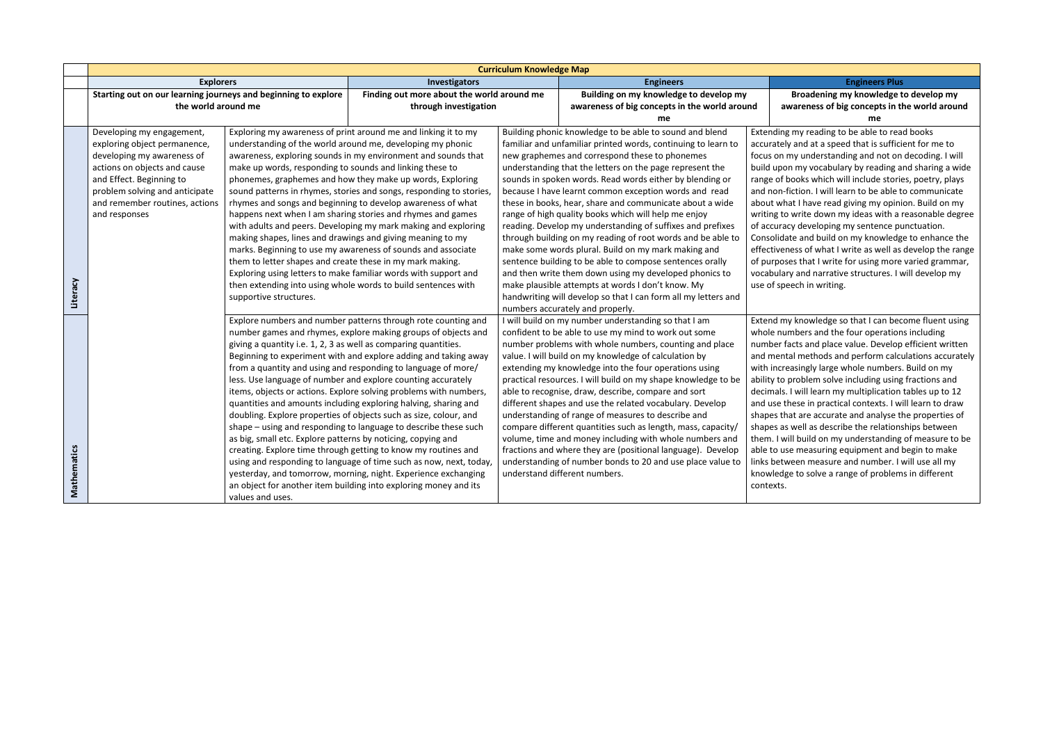## **Broadening my knowledge to develop my awareness of big concepts in the world around me**

If my reading to be able to read books and at a speed that is sufficient for me to my understanding and not on decoding. I will i my vocabulary by reading and sharing a wide range of sooks which will include stories, poetry, plays iction. I will learn to be able to communicate at I have read giving my opinion. Build on my write down my ideas with a reasonable degree cy developing my sentence punctuation. te and build on my knowledge to enhance the ess of what I write as well as develop the range es that I write for using more varied grammar, y and narrative structures. I will develop my ech in writing.

knowledge so that I can become fluent using mbers and the four operations including acts and place value. Develop efficient written al methods and perform calculations accurately asingly large whole numbers. Build on my aroblem solve including using fractions and I will learn my multiplication tables up to 12 nese in practical contexts. I will learn to draw at are accurate and analyse the properties of well as describe the relationships between ill build on my understanding of measure to be e measuring equipment and begin to make veen measure and number. I will use all my e to solve a range of problems in different

|                    | <b>Curriculum Knowledge Map</b>                                |                                                                 |                                                                     |  |                                                                                                                     |                                            |
|--------------------|----------------------------------------------------------------|-----------------------------------------------------------------|---------------------------------------------------------------------|--|---------------------------------------------------------------------------------------------------------------------|--------------------------------------------|
|                    | <b>Explorers</b>                                               |                                                                 | Investigators                                                       |  | <b>Engineers</b>                                                                                                    | <b>Engineers Plus</b>                      |
|                    | Starting out on our learning journeys and beginning to explore |                                                                 | Finding out more about the world around me                          |  | Building on my knowledge to develop my                                                                              | Broadening my knowledge t                  |
|                    | the world around me                                            |                                                                 | through investigation                                               |  | awareness of big concepts in the world around                                                                       | awareness of big concepts in t             |
|                    |                                                                |                                                                 |                                                                     |  | me                                                                                                                  | me                                         |
|                    | Developing my engagement,                                      |                                                                 | Exploring my awareness of print around me and linking it to my      |  | Building phonic knowledge to be able to sound and blend                                                             | Extending my reading to be able to rea     |
|                    | exploring object permanence,                                   |                                                                 | understanding of the world around me, developing my phonic          |  | familiar and unfamiliar printed words, continuing to learn to                                                       | accurately and at a speed that is suffici  |
|                    | developing my awareness of                                     |                                                                 | awareness, exploring sounds in my environment and sounds that       |  | new graphemes and correspond these to phonemes                                                                      | focus on my understanding and not on       |
|                    | actions on objects and cause                                   | make up words, responding to sounds and linking these to        |                                                                     |  | understanding that the letters on the page represent the                                                            | build upon my vocabulary by reading a      |
|                    | and Effect. Beginning to                                       |                                                                 | phonemes, graphemes and how they make up words, Exploring           |  | sounds in spoken words. Read words either by blending or                                                            | range of books which will include storid   |
|                    | problem solving and anticipate                                 |                                                                 | sound patterns in rhymes, stories and songs, responding to stories, |  | because I have learnt common exception words and read                                                               | and non-fiction. I will learn to be able t |
|                    | and remember routines, actions                                 |                                                                 | rhymes and songs and beginning to develop awareness of what         |  | these in books, hear, share and communicate about a wide                                                            | about what I have read giving my opini     |
|                    | and responses                                                  |                                                                 | happens next when I am sharing stories and rhymes and games         |  | range of high quality books which will help me enjoy                                                                | writing to write down my ideas with a      |
|                    |                                                                |                                                                 | with adults and peers. Developing my mark making and exploring      |  | reading. Develop my understanding of suffixes and prefixes                                                          | of accuracy developing my sentence pu      |
|                    |                                                                | making shapes, lines and drawings and giving meaning to my      |                                                                     |  | through building on my reading of root words and be able to                                                         | Consolidate and build on my knowledg       |
|                    |                                                                |                                                                 | marks. Beginning to use my awareness of sounds and associate        |  | make some words plural. Build on my mark making and                                                                 | effectiveness of what I write as well as   |
|                    |                                                                | them to letter shapes and create these in my mark making.       |                                                                     |  | sentence building to be able to compose sentences orally                                                            | of purposes that I write for using more    |
|                    |                                                                |                                                                 | Exploring using letters to make familiar words with support and     |  | and then write them down using my developed phonics to                                                              | vocabulary and narrative structures. Iv    |
| Literacy           |                                                                | supportive structures.                                          | then extending into using whole words to build sentences with       |  | make plausible attempts at words I don't know. My<br>handwriting will develop so that I can form all my letters and | use of speech in writing.                  |
|                    |                                                                |                                                                 |                                                                     |  | numbers accurately and properly.                                                                                    |                                            |
|                    |                                                                |                                                                 | Explore numbers and number patterns through rote counting and       |  | I will build on my number understanding so that I am                                                                | Extend my knowledge so that I can bec      |
|                    |                                                                |                                                                 | number games and rhymes, explore making groups of objects and       |  | confident to be able to use my mind to work out some                                                                | whole numbers and the four operation       |
|                    |                                                                | giving a quantity i.e. 1, 2, 3 as well as comparing quantities. |                                                                     |  | number problems with whole numbers, counting and place                                                              | number facts and place value. Develop      |
|                    |                                                                |                                                                 | Beginning to experiment with and explore adding and taking away     |  | value. I will build on my knowledge of calculation by                                                               | and mental methods and perform calc        |
|                    |                                                                |                                                                 | from a quantity and using and responding to language of more/       |  | extending my knowledge into the four operations using                                                               | with increasingly large whole numbers      |
|                    |                                                                |                                                                 | less. Use language of number and explore counting accurately        |  | practical resources. I will build on my shape knowledge to be                                                       | ability to problem solve including using   |
|                    |                                                                |                                                                 | items, objects or actions. Explore solving problems with numbers,   |  | able to recognise, draw, describe, compare and sort                                                                 | decimals. I will learn my multiplication   |
|                    |                                                                |                                                                 | quantities and amounts including exploring halving, sharing and     |  | different shapes and use the related vocabulary. Develop                                                            | and use these in practical contexts. I w   |
|                    |                                                                |                                                                 | doubling. Explore properties of objects such as size, colour, and   |  | understanding of range of measures to describe and                                                                  | shapes that are accurate and analyse tl    |
|                    |                                                                |                                                                 | shape – using and responding to language to describe these such     |  | compare different quantities such as length, mass, capacity/                                                        | shapes as well as describe the relations   |
|                    |                                                                | as big, small etc. Explore patterns by noticing, copying and    |                                                                     |  | volume, time and money including with whole numbers and                                                             | them. I will build on my understanding     |
|                    |                                                                |                                                                 | creating. Explore time through getting to know my routines and      |  | fractions and where they are (positional language). Develop                                                         | able to use measuring equipment and        |
| <b>Mathematics</b> |                                                                |                                                                 | using and responding to language of time such as now, next, today,  |  | understanding of number bonds to 20 and use place value to                                                          | links between measure and number. I        |
|                    |                                                                |                                                                 | yesterday, and tomorrow, morning, night. Experience exchanging      |  | understand different numbers.                                                                                       | knowledge to solve a range of problem      |
|                    |                                                                |                                                                 | an object for another item building into exploring money and its    |  |                                                                                                                     | contexts.                                  |
|                    |                                                                | values and uses.                                                |                                                                     |  |                                                                                                                     |                                            |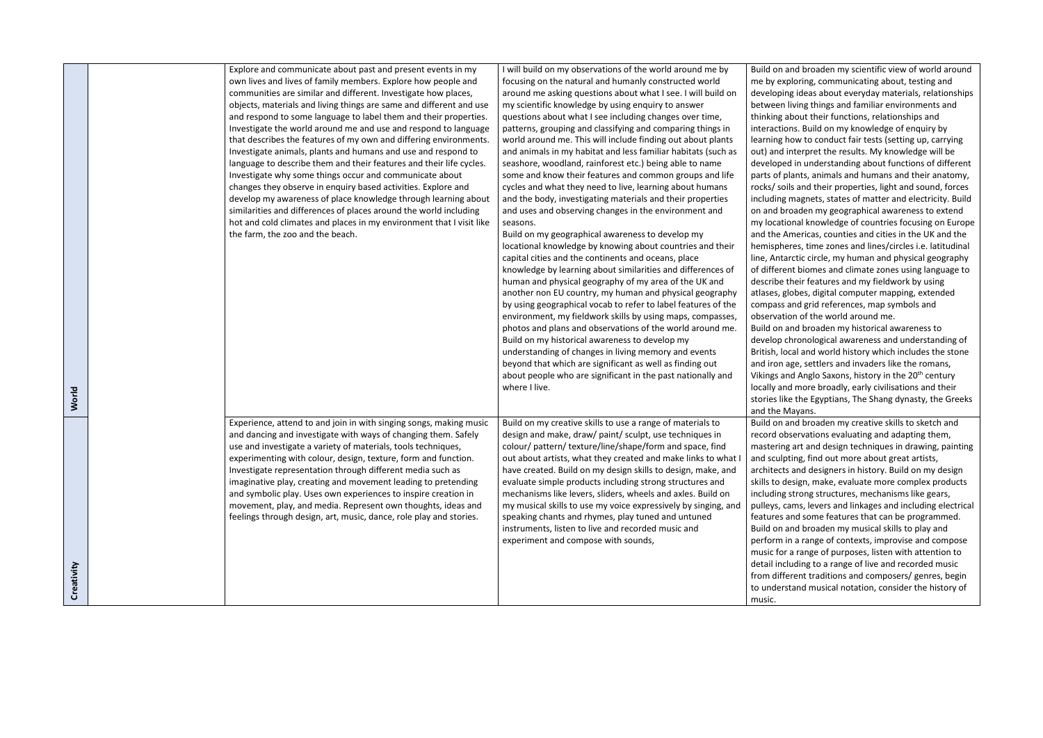|                     | Explore and communicate about past and present events in my<br>own lives and lives of family members. Explore how people and<br>communities are similar and different. Investigate how places,<br>objects, materials and living things are same and different and use<br>and respond to some language to label them and their properties.<br>Investigate the world around me and use and respond to language<br>that describes the features of my own and differing environments.<br>Investigate animals, plants and humans and use and respond to<br>language to describe them and their features and their life cycles.<br>Investigate why some things occur and communicate about<br>changes they observe in enquiry based activities. Explore and<br>develop my awareness of place knowledge through learning about<br>similarities and differences of places around the world including<br>hot and cold climates and places in my environment that I visit like<br>the farm, the zoo and the beach. | I will build on my observations of the world around me by<br>focusing on the natural and humanly constructed world<br>around me asking questions about what I see. I will build on<br>my scientific knowledge by using enquiry to answer<br>questions about what I see including changes over time,<br>patterns, grouping and classifying and comparing things in<br>world around me. This will include finding out about plants<br>and animals in my habitat and less familiar habitats (such as<br>seashore, woodland, rainforest etc.) being able to name<br>some and know their features and common groups and life<br>cycles and what they need to live, learning about humans<br>and the body, investigating materials and their properties<br>and uses and observing changes in the environment and<br>seasons.<br>Build on my geographical awareness to develop my<br>locational knowledge by knowing about countries and their<br>capital cities and the continents and oceans, place<br>knowledge by learning about similarities and differences of<br>human and physical geography of my area of the UK and<br>another non EU country, my human and physical geography<br>by using geographical vocab to refer to label features of the<br>environment, my fieldwork skills by using maps, compasses,<br>photos and plans and observations of the world around me.<br>Build on my historical awareness to develop my<br>understanding of changes in living memory and events<br>beyond that which are significant as well as finding out<br>about people who are significant in the past nationally and<br>where I live. | Build on<br>me by ex<br>developi<br>between<br>thinking<br>interactio<br>learning<br>out) and<br>develope<br>parts of<br>rocks/sc<br>including<br>on and b<br>my locat<br>and the<br>hemisph<br>line, Anta<br>of differe<br>describe<br>atlases, g<br>compass<br>observat<br>Build on<br>develop<br>British, k<br>and iron<br>Vikings a<br>locally ar |
|---------------------|----------------------------------------------------------------------------------------------------------------------------------------------------------------------------------------------------------------------------------------------------------------------------------------------------------------------------------------------------------------------------------------------------------------------------------------------------------------------------------------------------------------------------------------------------------------------------------------------------------------------------------------------------------------------------------------------------------------------------------------------------------------------------------------------------------------------------------------------------------------------------------------------------------------------------------------------------------------------------------------------------------|-------------------------------------------------------------------------------------------------------------------------------------------------------------------------------------------------------------------------------------------------------------------------------------------------------------------------------------------------------------------------------------------------------------------------------------------------------------------------------------------------------------------------------------------------------------------------------------------------------------------------------------------------------------------------------------------------------------------------------------------------------------------------------------------------------------------------------------------------------------------------------------------------------------------------------------------------------------------------------------------------------------------------------------------------------------------------------------------------------------------------------------------------------------------------------------------------------------------------------------------------------------------------------------------------------------------------------------------------------------------------------------------------------------------------------------------------------------------------------------------------------------------------------------------------------------------------------------------------------------------------------------|-------------------------------------------------------------------------------------------------------------------------------------------------------------------------------------------------------------------------------------------------------------------------------------------------------------------------------------------------------|
| World<br>Creativity | Experience, attend to and join in with singing songs, making music<br>and dancing and investigate with ways of changing them. Safely<br>use and investigate a variety of materials, tools techniques,<br>experimenting with colour, design, texture, form and function.<br>Investigate representation through different media such as<br>imaginative play, creating and movement leading to pretending<br>and symbolic play. Uses own experiences to inspire creation in<br>movement, play, and media. Represent own thoughts, ideas and<br>feelings through design, art, music, dance, role play and stories.                                                                                                                                                                                                                                                                                                                                                                                           | Build on my creative skills to use a range of materials to<br>design and make, draw/ paint/ sculpt, use techniques in<br>colour/ pattern/ texture/line/shape/form and space, find<br>out about artists, what they created and make links to what I<br>have created. Build on my design skills to design, make, and<br>evaluate simple products including strong structures and<br>mechanisms like levers, sliders, wheels and axles. Build on<br>my musical skills to use my voice expressively by singing, and<br>speaking chants and rhymes, play tuned and untuned<br>instruments, listen to live and recorded music and<br>experiment and compose with sounds,                                                                                                                                                                                                                                                                                                                                                                                                                                                                                                                                                                                                                                                                                                                                                                                                                                                                                                                                                                  | stories li<br>and the I<br>Build on<br>record o<br>masterin<br>and sculp<br>architect<br>skills to d<br>including<br>pulleys,<br>features<br>Build on<br>perform<br>music fo<br>detail ind<br>from diff<br>to under<br>music.                                                                                                                         |

and broaden my scientific view of world around ploring, communicating about, testing and ing ideas about everyday materials, relationships Iving things and familiar environments and about their functions, relationships and ions. Build on my knowledge of enquiry by how to conduct fair tests (setting up, carrying interpret the results. My knowledge will be ed in understanding about functions of different plants, animals and humans and their anatomy, bils and their properties, light and sound, forces If magnets, states of matter and electricity. Build or and broaden my geographical awareness to extend ional knowledge of countries focusing on Europe Americas, counties and cities in the UK and the eres, time zones and lines/circles i.e. latitudinal arctic circle, my human and physical geography ent biomes and climate zones using language to their features and my fieldwork by using globes, digital computer mapping, extended and grid references, map symbols and tion of the world around me.

and broaden my historical awareness to chronological awareness and understanding of ocal and world history which includes the stone age, settlers and invaders like the romans, Vikings and Anglo Saxons, history in the 20<sup>th</sup> century nd more broadly, early civilisations and their ke the Egyptians, The Shang dynasty, the Greeks Mayans.

> and broaden my creative skills to sketch and bservations evaluating and adapting them, g art and design techniques in drawing, painting pting, find out more about great artists, ts and designers in history. Build on my design design, make, evaluate more complex products strong structures, mechanisms like gears, cams, levers and linkages and including electrical and some features that can be programmed. and broaden my musical skills to play and in a range of contexts, improvise and compose r a range of purposes, listen with attention to cluding to a range of live and recorded music ferent traditions and composers/ genres, begin rstand musical notation, consider the history of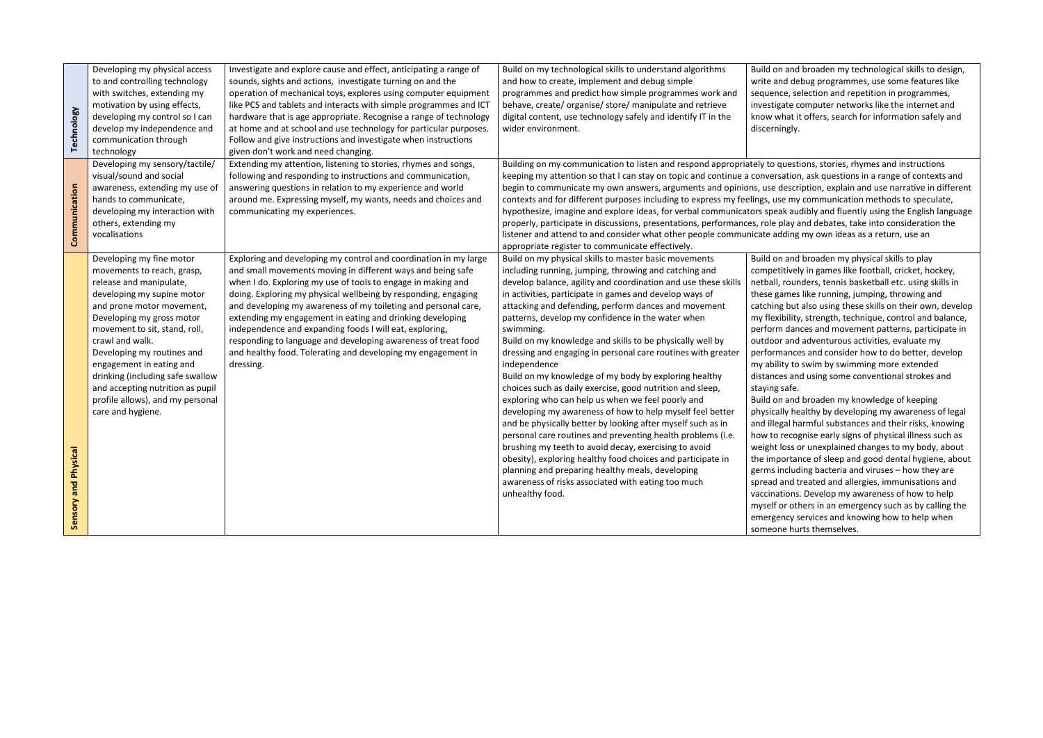| Technology              | Developing my physical access<br>to and controlling technology<br>with switches, extending my<br>motivation by using effects,<br>developing my control so I can<br>develop my independence and<br>communication through<br>technology                                                                                                                                                                                    | Investigate and explore cause and effect, anticipating a range of<br>sounds, sights and actions, investigate turning on and the<br>operation of mechanical toys, explores using computer equipment<br>like PCS and tablets and interacts with simple programmes and ICT<br>hardware that is age appropriate. Recognise a range of technology<br>at home and at school and use technology for particular purposes.<br>Follow and give instructions and investigate when instructions<br>given don't work and need changing.                                                                                | Build on my technological skills to understand algorithms<br>and how to create, implement and debug simple<br>programmes and predict how simple programmes work and<br>behave, create/organise/store/manipulate and retrieve<br>digital content, use technology safely and identify IT in the<br>wider environment.                                                                                                                                                                                                                                                                                                                                                                                                                                                                                                                                                                                                                                                                                                                                                                                                                           | Build on<br>write and<br>sequence<br>investiga<br>know wh<br>discernin                                                                                                                                                                                                                                 |
|-------------------------|--------------------------------------------------------------------------------------------------------------------------------------------------------------------------------------------------------------------------------------------------------------------------------------------------------------------------------------------------------------------------------------------------------------------------|-----------------------------------------------------------------------------------------------------------------------------------------------------------------------------------------------------------------------------------------------------------------------------------------------------------------------------------------------------------------------------------------------------------------------------------------------------------------------------------------------------------------------------------------------------------------------------------------------------------|-----------------------------------------------------------------------------------------------------------------------------------------------------------------------------------------------------------------------------------------------------------------------------------------------------------------------------------------------------------------------------------------------------------------------------------------------------------------------------------------------------------------------------------------------------------------------------------------------------------------------------------------------------------------------------------------------------------------------------------------------------------------------------------------------------------------------------------------------------------------------------------------------------------------------------------------------------------------------------------------------------------------------------------------------------------------------------------------------------------------------------------------------|--------------------------------------------------------------------------------------------------------------------------------------------------------------------------------------------------------------------------------------------------------------------------------------------------------|
| Communication           | Developing my sensory/tactile/<br>visual/sound and social<br>awareness, extending my use of<br>hands to communicate,<br>developing my interaction with<br>others, extending my<br>vocalisations                                                                                                                                                                                                                          | Extending my attention, listening to stories, rhymes and songs,<br>following and responding to instructions and communication,<br>answering questions in relation to my experience and world<br>around me. Expressing myself, my wants, needs and choices and<br>communicating my experiences.                                                                                                                                                                                                                                                                                                            | Building on my communication to listen and respond appropriately to qu<br>keeping my attention so that I can stay on topic and continue a conversa<br>begin to communicate my own answers, arguments and opinions, use de<br>contexts and for different purposes including to express my feelings, use<br>hypothesize, imagine and explore ideas, for verbal communicators speak<br>properly, participate in discussions, presentations, performances, role pl<br>listener and attend to and consider what other people communicate add<br>appropriate register to communicate effectively.                                                                                                                                                                                                                                                                                                                                                                                                                                                                                                                                                   |                                                                                                                                                                                                                                                                                                        |
| and Physical<br>Sensory | Developing my fine motor<br>movements to reach, grasp,<br>release and manipulate,<br>developing my supine motor<br>and prone motor movement,<br>Developing my gross motor<br>movement to sit, stand, roll,<br>crawl and walk.<br>Developing my routines and<br>engagement in eating and<br>drinking (including safe swallow<br>and accepting nutrition as pupil<br>profile allows), and my personal<br>care and hygiene. | Exploring and developing my control and coordination in my large<br>and small movements moving in different ways and being safe<br>when I do. Exploring my use of tools to engage in making and<br>doing. Exploring my physical wellbeing by responding, engaging<br>and developing my awareness of my toileting and personal care,<br>extending my engagement in eating and drinking developing<br>independence and expanding foods I will eat, exploring,<br>responding to language and developing awareness of treat food<br>and healthy food. Tolerating and developing my engagement in<br>dressing. | Build on my physical skills to master basic movements<br>including running, jumping, throwing and catching and<br>develop balance, agility and coordination and use these skills<br>in activities, participate in games and develop ways of<br>attacking and defending, perform dances and movement<br>patterns, develop my confidence in the water when<br>swimming.<br>Build on my knowledge and skills to be physically well by<br>dressing and engaging in personal care routines with greater<br>independence<br>Build on my knowledge of my body by exploring healthy<br>choices such as daily exercise, good nutrition and sleep,<br>exploring who can help us when we feel poorly and<br>developing my awareness of how to help myself feel better<br>and be physically better by looking after myself such as in<br>personal care routines and preventing health problems (i.e.<br>brushing my teeth to avoid decay, exercising to avoid<br>obesity), exploring healthy food choices and participate in<br>planning and preparing healthy meals, developing<br>awareness of risks associated with eating too much<br>unhealthy food. | Build on<br>competit<br>netball, r<br>these gar<br>catching<br>my flexib<br>perform<br>outdoor<br>performa<br>my abilit<br>distance:<br>staying s<br>Build on<br>physicall<br>and illega<br>how to re<br>weight Ic<br>the impo<br>germs in<br>spread a<br>vaccinati<br>myself of<br>emergen<br>someone |

and broaden my technological skills to design, d debug programmes, use some features like e, selection and repetition in programmes, ate computer networks like the internet and hat it offers, search for information safely and ngly.

uestions, stories, rhymes and instructions ation, ask questions in a range of contexts and escription, explain and use narrative in different emy communication methods to speculate, k audibly and fluently using the English language lay and debates, take into consideration the ding my own ideas as a return, use an

and broaden my physical skills to play tively in games like football, cricket, hockey, rounders, tennis basketball etc. using skills in mes like running, jumping, throwing and but also using these skills on their own, develop bility, strength, technique, control and balance, dances and movement patterns, participate in and adventurous activities, evaluate my ances and consider how to do better, develop ty to swim by swimming more extended s and using some conventional strokes and safe.

and broaden my knowledge of keeping ly healthy by developing my awareness of legal al harmful substances and their risks, knowing ecognise early signs of physical illness such as oss or unexplained changes to my body, about ortance of sleep and good dental hygiene, about icluding bacteria and viruses – how they are ind treated and allergies, immunisations and ions. Develop my awareness of how to help r others in an emergency such as by calling the icy services and knowing how to help when e hurts themselves.